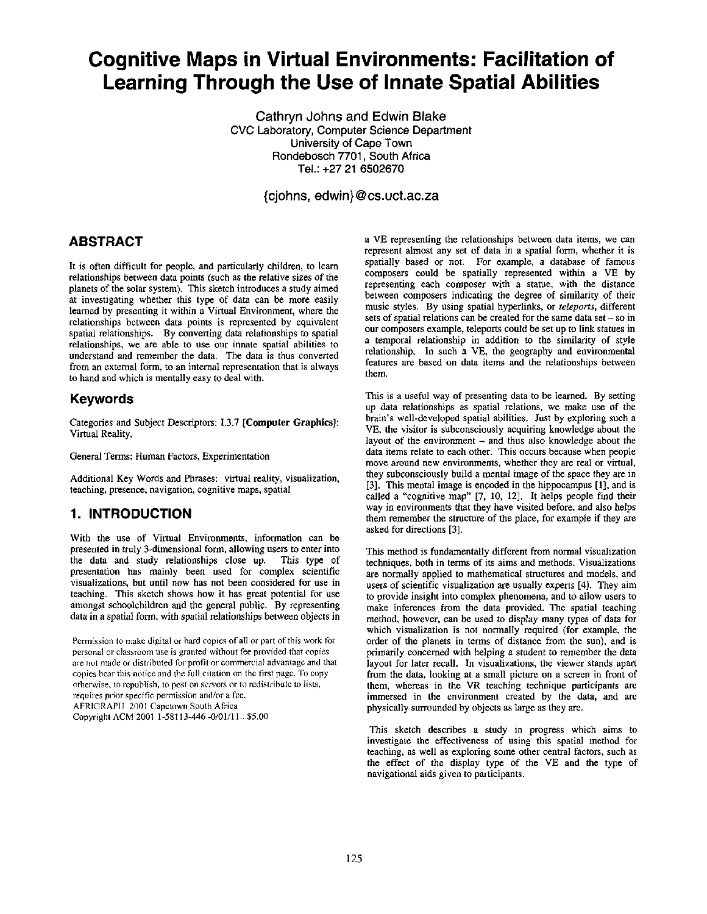# **Cognitive Maps in Virtual Environments: Facilitation of Learning Through the Use of Innate Spatial Abilities**

**Cathryn Johns and Edwin Blake**  Cvc Laboratory, Computer Science Department University of Cape Town Rondebosch 7701, South Africa Tel.: +27 21 6502670

**{cjohns, edwin} @ cs.uct.ac.za** 

#### **ABSTRACT**

It is often difficult for people, and particularly children, to learn relationships between data points (such as the relative sizes of the planets of the solar system). This sketch introduces a study aimed at investigating whether this type of data can be more easily learned by presenting it within a Virtual Environment, where the relationships between data points is represented by equivalent spatial relationships. By converting data relationships to spatial relationships, we are able to use our innate spatial abilities to understand and remember the data. The data is thus converted from an external form, to an internal representation that is always to hand and which is mentally easy to deal with.

## **Keywords**

Categories and Subject Descriptors: 1.3.7 [Computer Graphics]: Virtual Reality.

General Terms: Human Factors, Experimentation

Additional Key Words and Phrases: virtual reality, visualization, teaching, presence, navigation, cognitive maps, spatial

# **1. INTRODUCTION**

With the use of Virtual Environments, information can be presented in truly 3-dimensional form, allowing users to enter into the data and study relationships close up. This type of presentation has mainly been used for complex scientific visualizations, but until now has not been considered for use in teaching. This sketch shows how it has great potential for use amongst schoolchildren and the general public. By representing data in a spatial form, with spatial relationships between objects in

Permission to make digital or hard copies of all or part of this work for personal or classroom use is granted without fee provided that copies are not made or distributed for profit or commercial advantage and that copies bear this notice and the full citation on the first page. To copy otherwise, to republish, to post on servers or to redistribute to lists, requires prior specific permission and/or a tee. AFRIGRAPI] 2001 Capetown South Africa Copyright ACM 2001 1-58113-446 -0/01/1 I...\$5.00

a VE representing the relationships between data items, we can represent almost any set of data in a spatial form, whether it is spatially based or not. For example, a database of famous composers could be spatially represented within a VE by representing each composer with a statue, with the distance between composers indicating the degree of similarity of their music styles. By using spatial hyperlinks, or *teleports,* different sets of spatial relations can be created for the same data set  $-$  so in our composers example, teleports could be set up to link statues in a temporal relationship in addition to the similarity of style relationship. In such a VE, the geography and environmental features are based on data items and the relationships between them.

This is a useful way of presenting data to be learned. By setting up data relationships as spatial relations, we make use of the brain's well-developed spatial abilities. Just by exploring such a VE, the visitor is subconsciously acquiring knowledge about the layout of the environment - and thus also knowledge about the data items relate to each other. This occurs because when people move around new environments, whether they are real or virtual, they subconsciously build a mental image of the space they are in [3]. This mental image is encoded in the hippocampus [1], and is called a "cognitive map" [7, 10, 12]. It helps people find their way in environments that they have visited before, and also helps them remember the structure of the place, for example if they are asked for directions [3].

This method is fundamentally different from normal visualization techniques, both in terms of its aims and methods. Visualizations are normally applied to mathematical structures and models, and users of scientific visualization are usually experts [4]. They aim to provide insight into complex phenomena, and to allow users to make inferences from the data provided. The spatial teaching method, however, can be used to display many types of data for which visualization is not normally required (for example, the order of the planets in terms of distance from the sun), and is primarily concerned with helping a student to remember the data layout for later recall. In visualizations, the viewer stands apart from the data, looking at a small picture on a screen in front of them, whereas in the VR teaching technique participants are immersed in the environment created by the data, and are physically surrounded by objects as large as they are.

This sketch describes a study in progress which aims to investigate the effectiveness of using this spatial method for teaching, as well as exploring some other central factors, such as the effect of the display type of the VE and the type of navigational aids given to participants.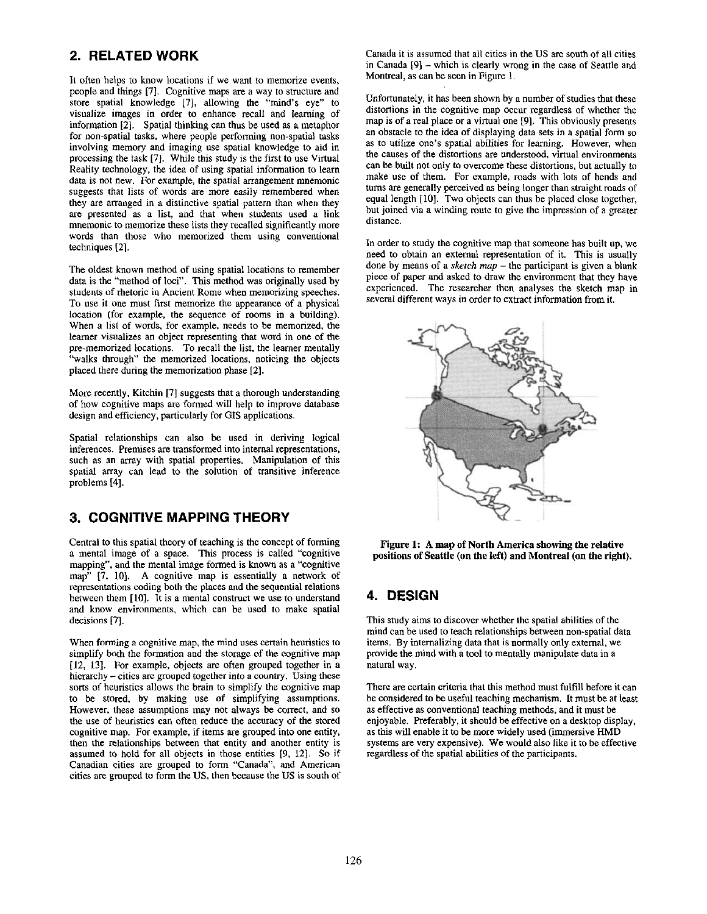# **2. RELATED WORK**

It often helps to know locations if we want to memorize events, people and things [7]. Cognitive maps are a way to structure and store spatial knowledge [7], allowing the "mind's eye" to visualize images in order to enhance recall and learning of information [2]. Spatial thinking can thus be used as a metaphor for non-spatial tasks, where people performing non-spatial tasks involving memory and imaging use spatial knowledge to aid in processing the task [7]. While this study is the first to use Virtual Reality technology, the idea of using spatial information to learn data is not new. For example, the spatial arrangement mnemonic suggests that lists of words are more easily remembered when they are arranged in a distinctive spatial pattern than when they are presented as a list, and that when students used a link mnemonic to memorize these lists they recalled significantly more words than those who memorized them using conventional techniques [2].

The oldest known method of using spatial locations to remember data is the "method of loci". This method was originally used by students of rhetoric in Ancient Rome when memorizing speeches. To use it one must first memorize the appearance of a physical location (for example, the sequence of rooms in a building). When a list of words, for example, needs to be memorized, the learner visualizes an object representing that word in one of the pre-memorized locations. To recall the list, the learner mentally "walks through" the memorized locations, noticing the objects placed there during the memorization phase [2].

More recently, Kitchin [7] suggests that a thorough understanding of how cognitive maps are formed will help to improve database design and efficiency, particularly for GIS applications.

Spatial relationships can also be used in deriving logical inferences. Premises are transformed into internal representations, such as an array with spatial properties. Manipulation of this spatial array can lead to the solution of transitive inference problems [4].

# **3. COGNITIVE MAPPING THEORY**

Central to this spatial theory of teaching is the concept of forming a mental image of a space. This process is called "cognitive mapping", and the mental image formed is known as a "cognitive map" [7, 10]. A cognitive map is essentially a network of representations coding both the places and the sequential relations between them [10]. It is a mental construct we use to understand and know environments, which can be used to make spatial decisions [7].

When forming a cognitive map, the mind uses certain heuristics to simplify both the formation and the storage of the cognitive map [12, 13]. For example, objects are often grouped together in a hierarchy – cities are grouped together into a country. Using these sorts of heuristics allows the brain to simplify the cognitive map to be stored, by making use of simplifying assumptions. However, these assumptions may not always be correct, and so the use of heuristics can often reduce the accuracy of the stored cognitive map. For example, if items are grouped into one entity, then the relationships between that entity and another entity is assumed to hold for all objects in those entities [9, 12]. So if Canadian cities are grouped to form "Canada", and American cities are grouped to form the US, then because the US is south of Canada it is assumed that all cities in the US are south of all cities in Canada [9] - which is clearly wrong in the case of Seattle and Montreal, as can be seen in Figure 1.

Unfortunately, it has been shown by a number of studies that these distortions in the cognitive map occur regardless of whether the map is of a real place or a virtual one [9]. This obviously presents an obstacle to the idea of displaying data sets in a spatial form so as to utilize one's spatial abilities for learning. However, when the causes of the distortions are understood, virtual environments can be built not only to overcome these distortions, but actually to make use of them. For example, roads with lots of bends and turns are generally perceived as being longer than straight roads of equal length [10]. Two objects can thus be placed close together, but joined via a winding route to give the impression of a greater distance.

In order to study the cognitive map that someone has built up, we need to obtain an external representation of it. This is usually done by means of a *sketch map -* the participant is given a blank piece of paper and asked to draw the environment that they have experienced. The researcher then analyses the sketch map in several different ways in order to extract information from it.



**Figure 1: A map of North America showing the relative positions of Seattle (on the left) and Montreal (on the right).** 

# **4. DESIGN**

This study aims to discover whether the spatial abilities of the mind can be used to teach relationships between non-spatial data items. By internalizing data that is normally only external, we provide the mind with a tool to mentally manipulate data in a natural way.

There are certain criteria that this method must fulfill before it can be considered to be useful teaching mechanism. It must be at least as effective as conventional teaching methods, and it must be enjoyable. Preferably, it should be effective on a desktop display, as this will enable it to be more widely used (immersive HMD systems are very expensive). We would also like it to be effective regardless of the spatial abilities of the participants.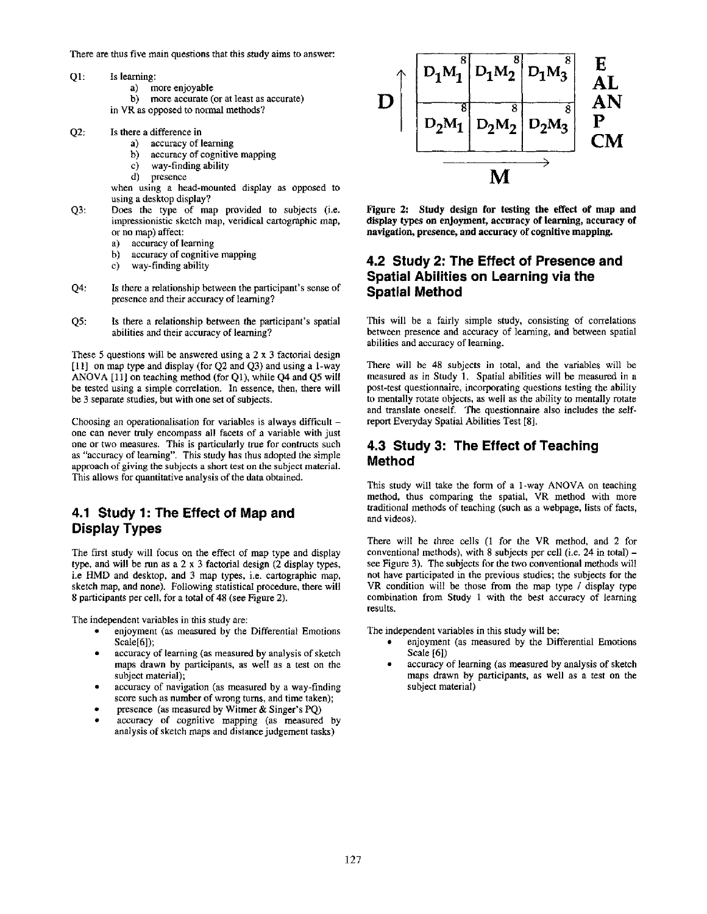There are thus five main questions that this study aims to answer:

- QI: Is learning:
	- a) more enjoyable
	- b) more accurate (or at least as accurate)
	- in VR as opposed to normal methods?
- $O2$ : Is there a difference in
	- a) accuracy of learning
	- b) accuracy of cognitive mapping
	- c) way-finding ability
	- presence

when using a head-mounted display as opposed to using a desktop display?

- Q3: Does the type of map provided to subjects (i.e. impressionistic sketch map, veridical cartographic map, or no map) affect:
	- a) accuracy of learning
	- b) accuracy of cognitive mapping
	- c) way-finding ability
- Q4: Is there a relationship between the participant's sense of presence and their accuracy of learning?
- Q5: Is there a relationship between the participant's spatial abilities and their accuracy of learning?

These 5 questions will be answered using a  $2 \times 3$  factorial design [11] on map type and display (for Q2 and Q3) and using a l-way ANOVA [11] on teaching method (for Q1), while Q4 and Q5 will be tested using a simple correlation. In essence, then, there will be 3 separate studies, but with one set of subjects.

Choosing an operationalisation for variables is always difficult  $$ one can never truly encompass all facets of a variable with just one or two measures. This is particularly true for contructs such as "accuracy of learning". This study has thus adopted the simple approach of giving the subjects a short test on the subject material. This allows for quantitative analysis of the data obtained.

## **4.1 Study 1: The Effect of Map and Display Types**

The first study will focus on the effect of map type and display type, and will be run as a 2 x 3 factorial design (2 display types, i.e HMD and desktop, and 3 map types, i.e. cartographic map, sketch map, and none). Following statistical procedure, there will 8 participants per cell, for a total of 48 (see Figure 2).

The independent variables in this study are:

- enjoyment (as measured by the Differential Emotions Scale[6]);
- accuracy of learning (as measured by analysis of sketch maps drawn by participants, as well as a test on the subject material);
- accuracy of navigation (as measured by a way-finding score such as number of wrong turns, and time taken);
- presence (as measured by Witmer & Singer's PQ)
- accuracy of cognitive mapping (as measured by analysis of sketch maps and distance judgement tasks)



**Figure 2: Study design for testing the effect of map and display types on enjoyment, accuracy of learning, accuracy of navigation, presence, and accuracy of cognitive mapping.** 

### **4.2 Study 2: The Effect of Presence and Spatial Abilities on Learning via the Spatial Method**

This will be a fairly simple study, consisting of correlations between presence and accuracy of learning, and between spatial abilities and accuracy of learning.

There will be 48 subjects in total, and the variables will be measured as in Study 1. Spatial abilities will be measured in a post-test questionnaire, incorporating questions testing the ability to mentally rotate objects, as well as the ability to mentally rotate and translate oneself. The questionnaire also includes the selfreport Everyday Spatial Abilities Test [8].

#### **4.3 Study 3: The Effect of Teaching Method**

This study will take the form of a 1-way ANOVA on teaching method, thus comparing the spatial, VR method with more traditional methods of teaching (such as a webpage, lists of facts, and videos).

There will be three cells (1 for the VR method, and 2 for conventional methods), with  $8$  subjects per cell (i.e. 24 in total) see Figure 3). The subjects for the two conventional methods will not have participated in the previous studies; the subjects for the VR condition will be those from the map type / display type combination from Study 1 with the best accuracy of learning results.

The independent variables in this study will be:

- enjoyment (as measured by the Differential Emotions Scale [6])
- accuracy of learning (as measured by analysis of sketch maps drawn by participants, as well as a test on the subject material)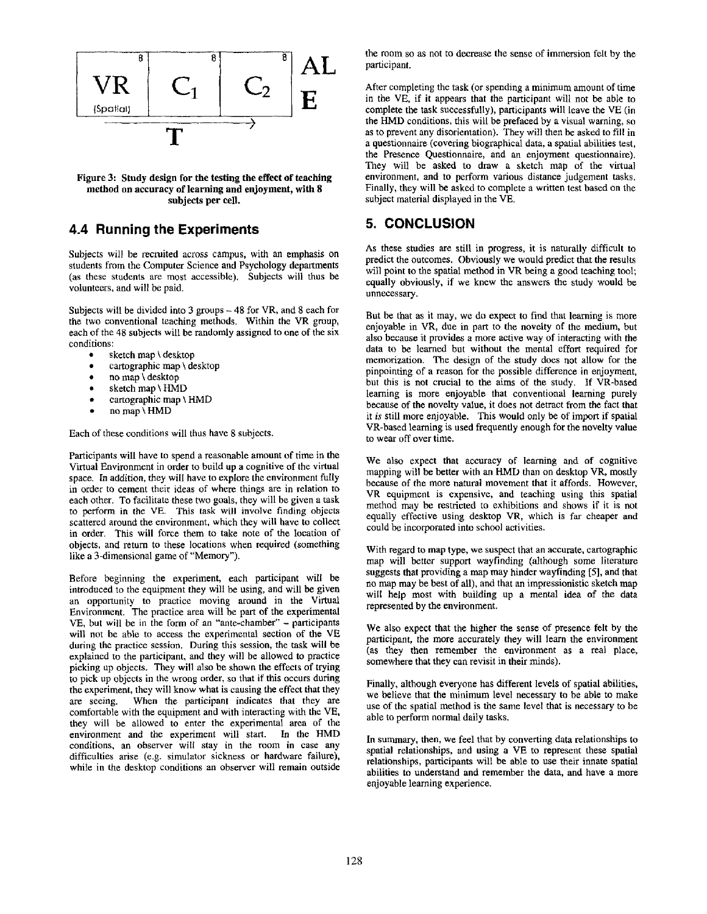

**Figure 3: Study design for the testing the effect of teaching method on accuracy of learning and enjoyment, with 8 subjects per cell.** 

## **4.4 Running the Experiments**

Subjects will be recruited across campus, with an emphasis on students from the Computer Science and Psychology departments (as these students are most accessible). Subjects will thus be volunteers, and will be paid.

Subjects will be divided into 3 groups - 48 for VR, and 8 each for the two conventional teaching methods. Within the VR group, each of the 48 subjects will be randomly assigned to one of the six conditions:

- sketch map \ desktop
- cartographic map \ desktop
- no map \ desktop
- sketch map \ HMD
- cartographic map \ HMD
- no map \ HMD

Each of these conditions will thus have 8 subjects.

Participants will have to spend a reasonable amount of time in the Virtual Environment in order to build up a cognitive of the virtual space. In addition, they will have to explore the environment fully in order to cement their ideas of where things are in relation to each other. To facilitate these two goals, they will be given a task to perform in the VE. This task will involve finding objects scattered around the environment, which they will have to collect in order. This will force them to take note of the location of objects, and return to these locations when required (something like a 3-dimensional game of "Memory").

Before beginning the experiment, each participant will be introduced to the equipment they will be using, and will be given an opportunity to practice moving around in the Virtual Environment. The practice area will be part of the experimental VE, but will be in the form of an "ante-chamber" - participants will not be able to access the experimental section of the VE during the practice session. During this session, the task will be explained to the participant, and they will be allowed to practice picking up objects. They will also be shown the effects of trying to pick up objects in the wrong order, so that if this occurs during the experiment, they will know what is causing the effect that they are seeing. When the participant indicates that they are comfortable with the equipment and with interacting with the VE, they will be allowed to enter the experimental area of the environment and the experiment will start. In the HMD conditions, an observer will stay in the room in case any difficulties arise (e.g. simulator sickness or hardware failure), while in the desktop conditions an observer will remain outside the room so as not to decrease the sense of immersion felt by the participant.

After completing the task (or spending a minimum amount of time in the VE, if it appears that the participant will not be able to complete the task successfully), participants will leave the VE (in the HMD conditions, this will be prefaced by a visual warning, so as to prevent any disorientation). They will then be asked to fill in a questionnaire (covering biographical data, a spatial abilities test, the Presence Questionnaire, and an enjoyment questionnaire). They will be asked to draw a sketch map of the virtual environment, and to perform various distance judgement tasks. Finally, they will be asked to complete a written test based on the subject material displayed in the VE.

# **5. CONCLUSION**

As these studies are still in progress, it is naturally difficult to predict the outcomes. Obviously we would predict that the results will point to the spatial method in VR being a good teaching tool; equally obviously, if we knew the answers the study would be unnecessary.

But be that as it may, we do expect to find that learning is more enjoyable in VR, due in part to the novelty of the medium, but also because it provides a more active way of interacting with the data to be learned but without the mental effort required for memorization. The design of the study does not allow for the pinpointing of a reason for the possible difference in enjoyment, but this is not crucial to the aims of the study. If VR-based learning is more enjoyable that conventional learning purely because of the novelty value, it does not detract from the fact that it *is* still more enjoyable. This would only be of import if spatial VR-based learning is used frequently enough for the novelty value to wear off over time.

We also expect that accuracy of learning and of cognitive mapping will be better with an HMD than on desktop VR, mostly because of the more natural movement that it affords. However, VR equipment is expensive, and teaching using this spatial method may be restricted to exhibitions and shows if it is not equally effective using desktop VR, which is far cheaper and could be incorporated into school activities.

With regard to map type, we suspect that an accurate, cartographic map will better support wayfinding (although some literature suggests that providing a map may hinder wayfinding [5], and that no map may be best of all), and that an impressionistic sketch map will help most with building up a mental idea of the data represented by the environment.

We also expect that the higher the sense of presence felt by the participant, the more accurately they will learn the environment (as they then remember the environment as a real place, somewhere that they can revisit in their minds).

Finally, although everyone has different levels of spatial abilities, we believe that the minimum level necessary to be able to make use of the spatial method is the same level that is necessary to be able to perform normal daily tasks.

In summary, then, we feel that by converting data relationships to spatial relationships, and using a VE to represent these spatial relationships, participants will be able to use their innate spatial abilities to understand and remember the data, and have a more enjoyable learning experience.